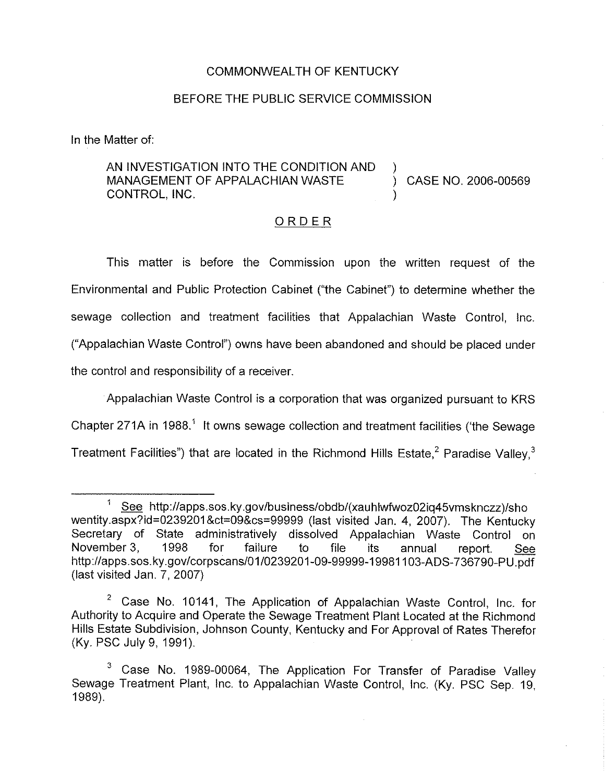#### COMMONWEALTH OF KENTUCKY

#### BEFORE THE PUBLIC SERVICE COMMISSION

In the Matter of:

AN INVESTIGATION INTO THE CONDITION AND MANAGEMENT OF APPALACHIAN WASTE  $(3.2006 - 0.0569)$ CONTROL, INC.

ORDER

This matter is before the Commission upon the written request of the Environmental and Public Protection Cabinet ("the Cabinet") to determine whether the sewage collection and treatment facilities that Appalachian Waste Control, Inc. ("Appalachian Waste Control") owns have been abandoned and should be placed under the control and responsibility of a receiver.

Appalachian Waste Control is a corporation that was organized pursuant to KRS Chapter 271A in 1988." It owns sewage collection and treatment facilities ('the Sewage Treatment Facilities") that are located in the Richmond Hills Estate, $^2$  Paradis

 $\mathbf{1}$ See http://apps.sos.ky.gov/business/obdb/(xauhlwfwoz02iq45vmsknczz)/sho wentity.aspx?Id=02392018ct=09&cs=99999 (last visited Jan. 4, 2007). The Kentucky Secretary of State administratively dissolved Appalachian Waste Control on<br>November 3. 1998 for failure to file its annual report See November 3, 1998 for failure to file its annual report. <u>See</u> http://apps.sos.ky.gov/corpscans/01/0239201-09-99999-19981103-ADS-736790-PL (last visited Jan. 7, 2007)

<sup>&</sup>lt;sup>2</sup> Case No. 10141, The Application of Appalachian Waste Control, Inc. for Authority to Acquire and Operate the Sewage Treatment Plant Located at the Richmond Hills Estate Subdivision, Johnson County, Kentucky and For Approval of Rates Therefor (Ky. PSC July 9, 1991).

Case No. 1989-00064, The Application For Transfer of Paradise Valley  $\mathbf{3}$ Sewage Treatment Plant, Inc. to Appalachian Waste Control, Inc. (Ky. PSC Sep. 19, 1989).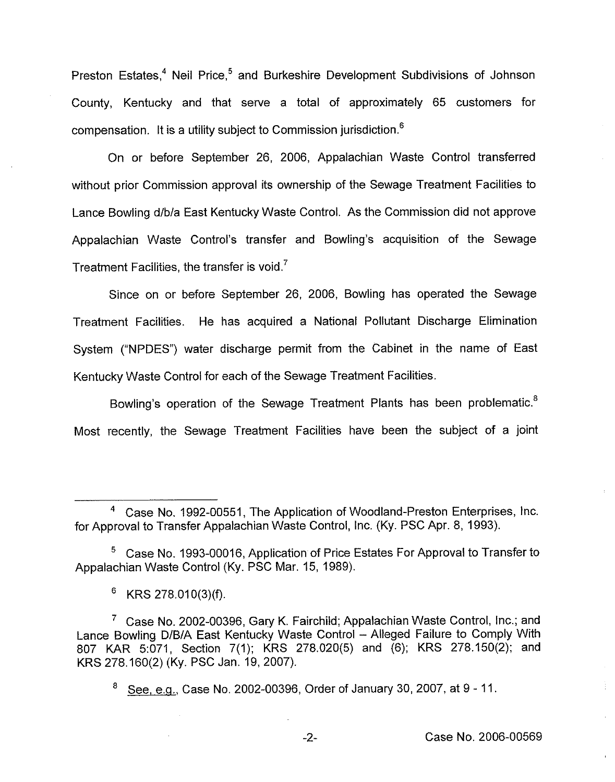Preston Estates, <sup>4</sup> Neil Price,  $5$  and Burkeshire Development Subdivisions of Johnson County, Kentucky and that serve a total of approximately 65 customers for compensation. It is a utility subject to Commission jurisdiction. $<sup>6</sup>$ </sup>

On or before September 26, 2006, Appalachian Waste Control transferred without prior Commission approval its ownership of the Sewage Treatment Facilities to Lance Bowling d/b/a East Kentucky Waste Control. As the Commission did not approve Appalachian Waste Control's transfer and Bowling's acquisition of the Sewage Treatment Facilities, the transfer is void.<sup>7</sup>

Since on or before September 26, 2006, Bowling has operated the Sewage Treatment Facilities. He has acquired a National Pollutant Discharge Elimination System ("NPDES") water discharge permit from the Cabinet in the name of East Kentucky Waste Control for each of the Sewage Treatment Facilities.

Bowling's operation of the Sewage Treatment Plants has been problematic.<sup>8</sup> Most recently, the Sewage Treatment Facilities have been the subject of a joint

 $6$  KRS 278.010(3)(f).

See, e.g., Case No. 2002-00396, Order of January 30, 2007, at 9 - 11. 8

 $-2-$ 

Case No. 1992-00551, The Application of Woodland-Preston Enterprises, Inc. for Approval to Transfer Appalachian Waste Control, Inc. (Ky. PSC Apr. 8, 1993).

Case No. 1993-00016, Application of Price Estates For Approval to Transfer to Appalachian Waste Control (Ky. PSC Mar. 15, 1989).

 $\frac{7}{1}$  Case No. 2002-00396, Gary K. Fairchild; Appalachian Waste Control, Inc.; and Lance Bowling D/B/A East Kentucky Waste Control —Alleged Failure to Comply With 807 KAR 5:071, Section 7(1); KRS 278.020(5) and (6); KRS 278.150(2); and KRS 278.160(2) (Ky. PSC Jan. 19, 2007).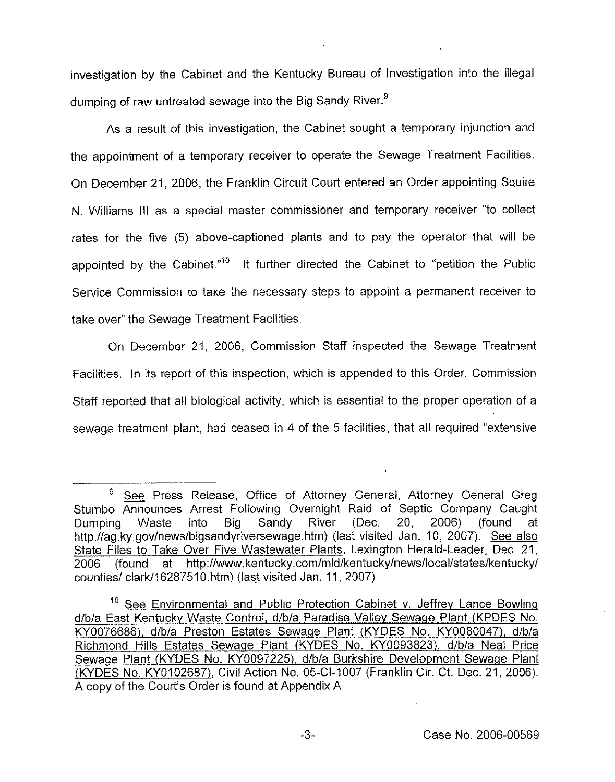investigation by the Cabinet and the Kentucky Bureau of Investigation into the illegal dumping of raw untreated sewage into the Big Sandy River.<sup>9</sup>

As a result of this investigation, the Cabinet sought a temporary injunction and the appointment of a temporary receiver to operate the Sewage Treatment Facilities. On December 21, 2006, the Franklin Circuit Court entered an Order appointing Squire N. Williams III as a special master commissioner and temporary receiver "to collect rates for the five (5) above-captioned plants and to pay the operator that will be appointed by the Cabinet."<sup>10</sup> It further directed the Cabinet to "petition the Public Service Commission to take the necessary steps to appoint a permanent receiver to take over" the Sewage Treatment Facilities.

On December 21, 2006, Commission Staff inspected the Sewage Treatment Facilities. In its report of this inspection, which is appended to this Order, Commission Staff reported that all biological activity, which is essential to the proper operation of a sewage treatment plant, had ceased in 4 of the 5 facilities, that all required "extensive

 $\frac{1}{2}$ 

<sup>&</sup>lt;sup>9</sup> See Press Release, Office of Attorney General, Attorney General Greg Stumbo Announces Arrest Following Overnight Raid of Septic Company Caught Dumping Waste into Big Sandy River (Dec. 20, 2006) (found at http://ag.ky.gov/news/bigsandyriversewage.htm) (last visited Jan. 10, 2007). See also State Files to Take Over Five Wastewater Plants, Lexington Herald-Leader, Dec. 21, 2006 (found at http;//www.kentucky.corn/mid/kentucky/news/local/states/kentucky/ counties/ clark/16287510.htm) (last visited Jan. 11, 2007).

 $10$  See Environmental and Public Protection Cabinet v. Jeffrey Lance Bowling d/b/a East Kentuckv Waste Control, d/b/a Paradise Valley Sewaqe Plant (KPDES No. KY0076686), d/b/a Preston Estates Sewaqe Plant (KYDES No. KY0080047), d/b/a Richmond Hills Estates Sewage Plant (KYDES No. KY0093823), d/b/a Neal Price Sewage Plant (KYDES No. KY0097225), d/b/a Burkshire Development Sewage Plant (KYDES No. KY0102687), Civil Action No. 05-Cl-1007 (Franklin Cir. Ct. Dec. 21, 2006). A copy of the Court's Order is found at Appendix A.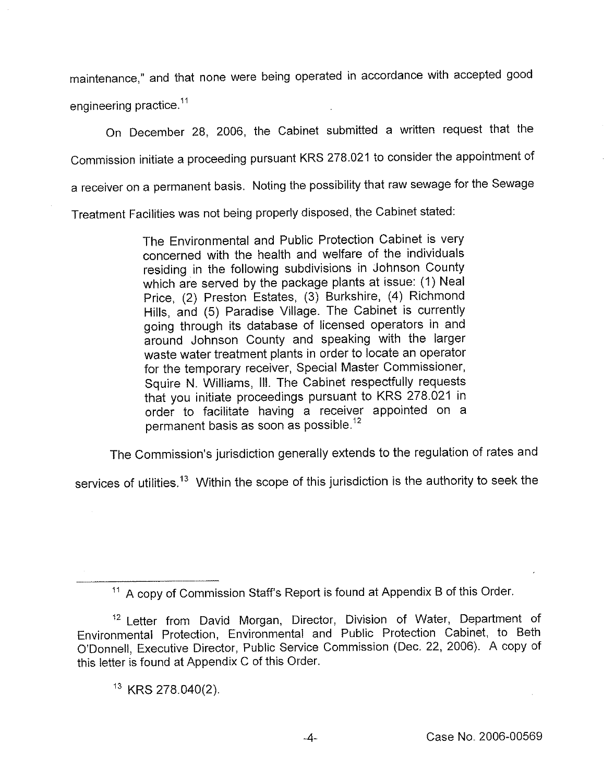maintenance," and that none were being operated in accordance with accepted good engineering practice.<sup>11</sup>

On December 28, 2006, the Cabinet submitted a written request that the Commission initiate a proceeding pursuant KRS 278.021 to consider the appointment of a receiver on a permanent basis. Noting the possibility that raw sewage for the Sewage

Treatment Facilities was not being properly disposed, the Cabinet stated:

The Environmental and Public Protection Cabinet is very concerned with the health and welfare of the individuals residing in the following subdivisions in Johnson County which are served by the package plants at issue: (1) Neal Price, (2) Preston Estates, (3) Burkshire, (4) Richmond Hills, and (5) Paradise Village. The Cabinet is currently going through its database of licensed operators in and around Johnson County and speaking with the larger waste water treatment plants in order to locate an operator for the temporary receiver, Special Master Commissioner, Squire N. Williams, III. The Cabinet respectfully requests that you initiate proceedings pursuant to KRS 278.021 in order to facilitate having a receiver appointed on a permanent basis as soon as possible. $^{12}$ 

The Commission's jurisdiction generally extends to the regulation of rates and

services of utilities.<sup>13</sup> Within the scope of this jurisdiction is the authority to seek the

 $<sup>11</sup>$  A copy of Commission Staff's Report is found at Appendix B of this Order.</sup>

<sup>&</sup>lt;sup>12</sup> Letter from David Morgan, Director, Division of Water, Department of Environmental Protection, Environmental and Public Protection Cabinet, to Beth O'Donnell, Executive Director, Public Service Commission (Dec. 22, 2006). <sup>A</sup> copy of this letter is found at Appendix C of this Order.

 $13$  KRS 278.040(2).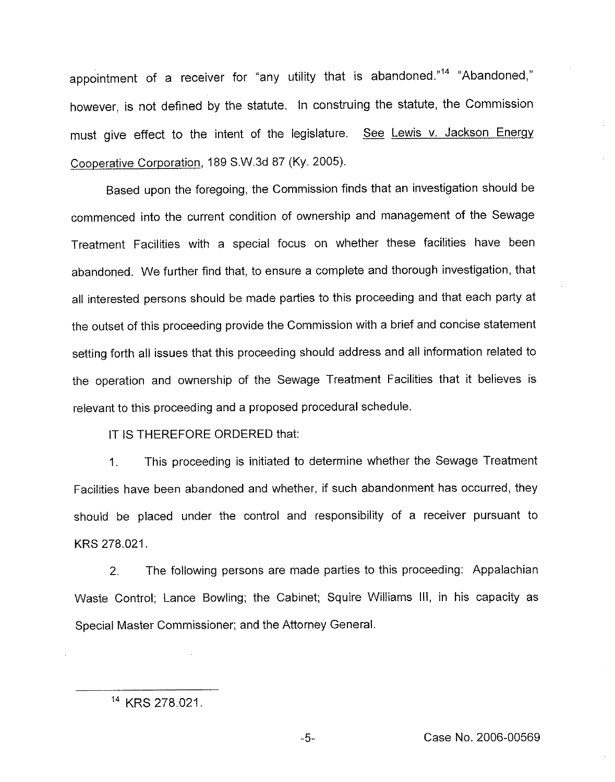appointment of a receiver for "any utility that is abandoned."<sup>14</sup> "Abandoned," however, is not defined by the statute. In construing the statute, the Commission must give effect to the intent of the legislature. See Lewis v. Jackson Energy Cooperative Corporation, 189 S.W.3d 87 (Ky. 2005).

Based upon the foregoing, the Commission finds that an investigation should be commenced into the current condition of ownership and management of the Sewage Treatment Facilities with a special focus on whether these facilities have been abandoned. We further find that, to ensure a complete and thorough investigation, that all interested persons should be made parties to this proceeding and that each party at the outset of this proceeding provide the Commission with a brief and concise statement setting forth all issues that this proceeding should address and all information related to the operation and ownership of the Sewage Treatment Facilities that it believes is relevant to this proceeding and a proposed procedural schedule.

IT IS THEREFORE ORDERED that:

1. This proceeding is initiated to determine whether the Sewage Treatment Facilities have been abandoned and whether, if such abandonment has occurred, they should be placed under the control and responsibility of a receiver pursuant to KRS 278.021.

2. The following persons are made parties to this proceeding: Appalachian Waste Control; Lance Bowling; the Cabinet; Squire Williams III, in his capacity as Special Master Commissioner; and the Attorney General.

<sup>&</sup>lt;sup>14</sup> KRS 278.021.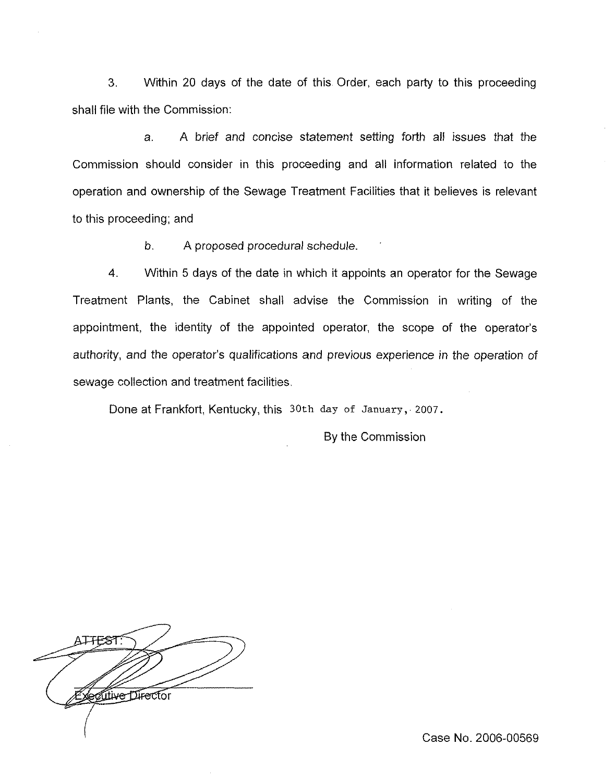3. Within 20 days of the date of this Order, each party to this proceeding shall file with the Commission:

a. A brief and concise statement setting forth all issues that the Commission should consider in this proceeding and all information related to the operation and ownership of the Sewage Treatment Facilities that it believes is relevant to this proceeding; and

b. A proposed procedural schedule.

4. Within 5 days of the date in which it appoints an operator for the Sewage Treatment Plants, the Cabinet shall advise the Commission in writing of the appointment, the identity of the appointed operator, the scope of the operator's authority, and the operator's qualifications and previous experience in the operation of sewage collection and treatment facilities,

Done at Frankfort, Kentucky, this 30th day of January, 2007.

By the Commission

A<del>TTES</del>T Artive Director

Case No. 2006-00569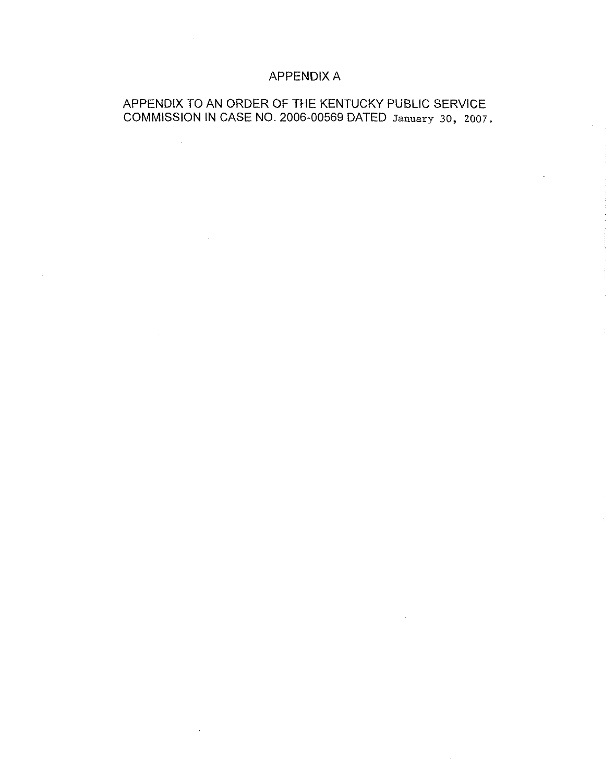## APPENDIX A

## APPENDIX TO AN ORDER OF THE KENTUCKY PUBLIC SERVICE COMMISSION IN CASE NO. 2006-00569 DATED January 30, 2007.

 $\sim$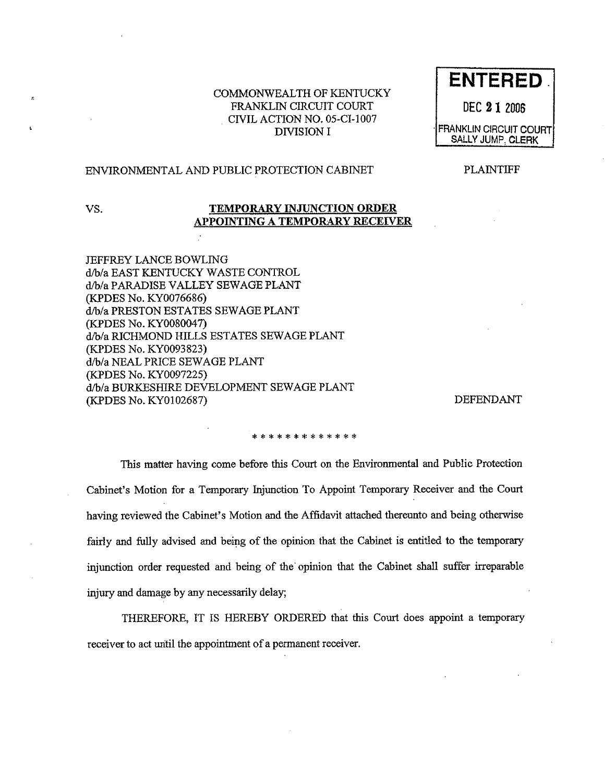#### COMMONWEALTH OF KENTUCKY FRANKLIN CIRCUIT COURT CIVIL ACTION NO, 05-CI-1007 DIVISION I

#### ENVIRONMENTAL AND PUBLIC PROTECTION CABINET

PLAINTIFF

**ENTERED.** 

DEC 21 2006

FRANKLIN CIRCUIT COURT SALLY JUMP, CLERK

.<br>ا

#### VS. TEMPORARY INJUNCTION ORDER APPOINTING A TEMPORARY RECEIVER

JEFFREY LANCE BOWLING d/b/a EAST KENTUCKY WASTE CONTROL d/b/a PARADISE VALLEY SEWAGE PLANT (KPDES No. KY0076686) d/b/a PRESTON ESTATES SEWAGE PLANT (KPDES No. KY0080047) d/b/a RICHMOND HILLS ESTATES SEWAGE PLANT (KPDES No, KY0093823) d/b/a NEAL PRICE SEWAGE PLANT (KPDES No. KY0097225) d/b/a BURKESHIRE DEVELOPMENT SEWAGE PLANT (KPDES No. KY0102687) DEFENDANT

#### \* \* \* \* \* \* \* \* \* \* \* \* \*

This matter having come before this Court on the Environmental and Public Protection Cabinet's Motion for a Temporary Injunction To Appoint Temporary Receiver and the Court having reviewed the Cabinet's Motion and the Affidavit attached thereunto and being otherwise fairly and fully advised and being of the opinion that the Cabinet is entitled to the temporary injunction order requested and being of the'pinion that the Cabinet shall suffer irreparable injury and damage by any necessarily delay;

THEREFORE, IT IS HEREBY ORDERED that this Court does appoint a temporary receiver to act until the appointment of a permanent receiver.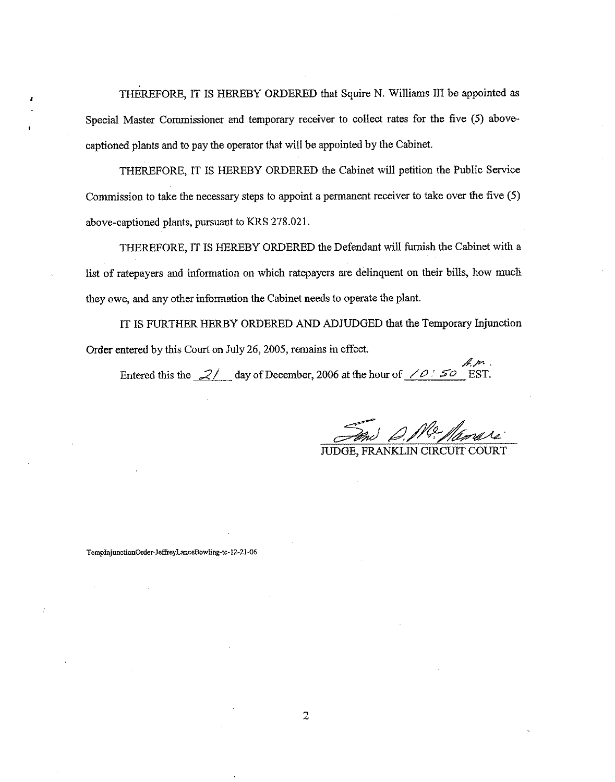THEREFORE, IT IS HEREBY ORDERED that Squire N. Williams III be appointed as Special Master Commissioner and temporary receiver to collect rates for the five (5) abovecaptioned plants and to pay the operator that will be appointed by the Cabinet.

THEREFORE, IT IS HEREBY ORDERED the Cabinet will petition the Public Service Commission to take the necessary steps to appoint a permanent receiver to take over the five (5) above-captioned plants, pursuant to KRS 278.021.

THEREFORE, IT IS HEREBY ORDERED the Defendant will furnish the Cabinet with a list of ratepayers and information on which ratepayers are delinquent on their bills, how much they owe, and any other information the Cabinet needs to operate the plant.

IT IS FURTHER HERBY ORDERED AND ADJUDGED that the Temporary Injunction Order entered by this Court on July 26, 2005, remains in effect,

Am. Entered this the  $2/$  day of December, 2006 at the hour of  $\angle O$ : 50 EST.

JUDGE, FRANKLIN CIRCUIT COURT

TempInjunctionOrder-JeffreyLanceBowling-tc-12-21-06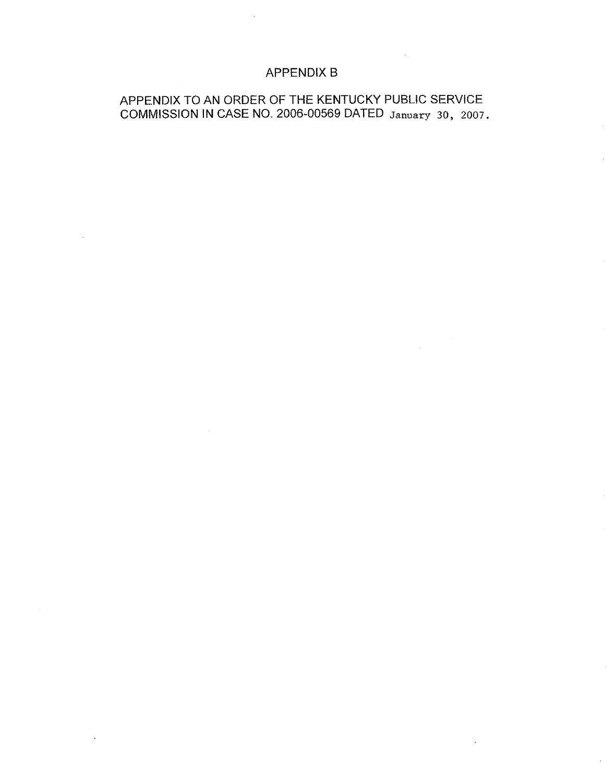## APPENDIX B

## APPENDIX TO AN ORDER OF THE KENTUCKY PUBLIC SERVICE COMMISSION IN CASE NO. 2006-00569 DATED January 30, 2007.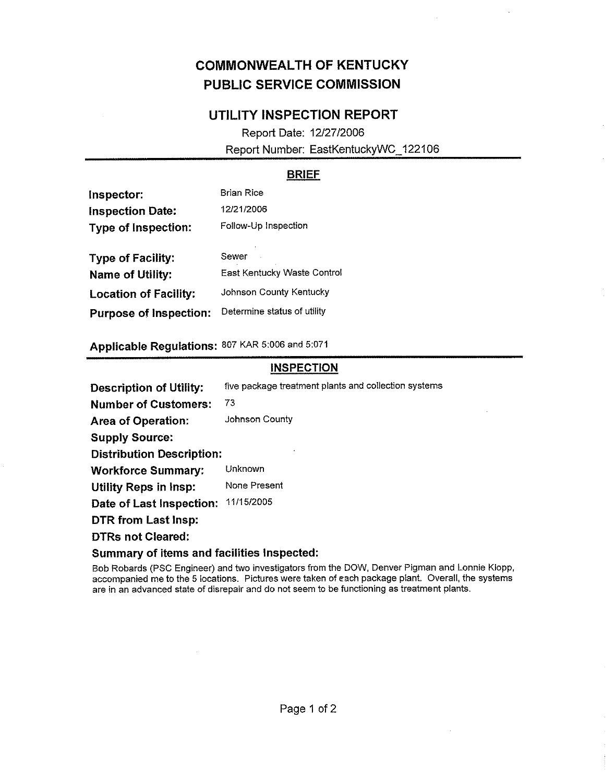## COMMONWEALTH OF KENTUCKY PUBLIC SERVICE COMMISSION

## UTILITY INSPECTION REPORT

Report Date: 12/27/2006 Report Number: EastKentuckyWC\_122106

## BRIEF

| Inspector:                    | <b>Brian Rice</b>                  |  |  |
|-------------------------------|------------------------------------|--|--|
| <b>Inspection Date:</b>       | 12/21/2006<br>Follow-Up Inspection |  |  |
| <b>Type of Inspection:</b>    |                                    |  |  |
| <b>Type of Facility:</b>      | Sewer                              |  |  |
| Name of Utility:              | East Kentucky Waste Contro         |  |  |
| <b>Location of Facility:</b>  | Johnson County Kentucky            |  |  |
| <b>Purpose of Inspection:</b> | Determine status of utility        |  |  |

Applicable Regulations: 807 KAR 5:006 and 5:071

## **INSPECTION**

Description of Utility: five package treatment plants and collection systems

Number of Customers: 73

Area of Operation: Johnson County

Supply Source:

Distribution Description:

Workforce Summary: Unknown

Utility Reps in Insp: None Present

Date of Last Inspection: 11/15/2005

DTR from Last Insp:

DTRs not Cleared:

### Summary of items and facilities Inspected:

Bob Robards (PSC Engineer) and two investigators from the DOW, Denver Pigman and Lonnie Klopp, accompanied me to the 5 locations. Pictures were taken of each package plant. Overall, the systems are in an advanced state of disrepair and do not seem to be functioning as treatment plants.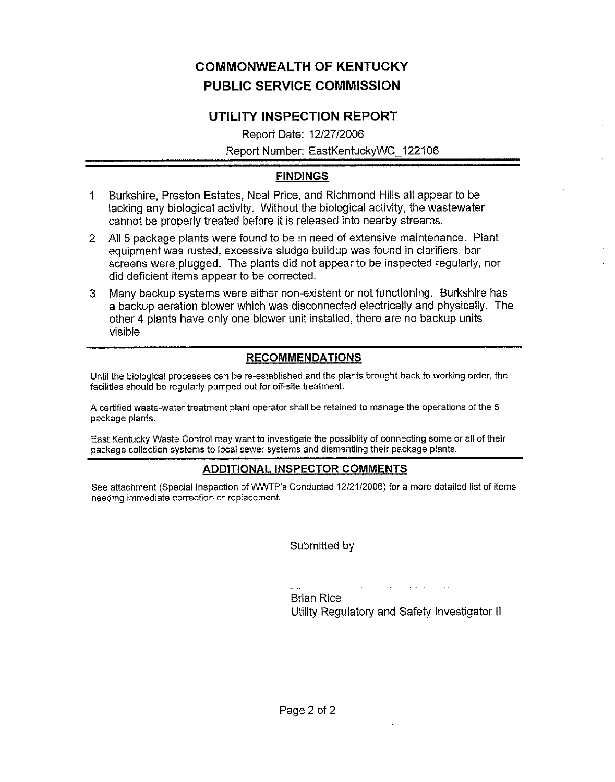## COMINONWEALTH OF KENTUCKY PUBLIC SERVICE COMMISSION

## UTILITY INSPECTION REPORT

Report Date: 12/27/2006 Report Number: EastKentuckyWC 122106

## FINDINGS

- 1 Burkshire, Preston Estates, Neal Price, and Richmond Hills all appear to be lacking any biological activity. Without the biological activity, the wastewater cannot be properly treated before it is released into nearby streams.
- 2 All 5 package plants were found to be in need of extensive maintenance. Plant equipment was rusted, excessive sludge buildup was found in clarifiers, bar screens were plugged. The plants did not appear to be inspected regularly, nor did deficient items appear to be corrected.
- 3 Many backup systems were either non-existent or not functioning. Burkshire has a backup aeration blower which was disconnected electrically and physically. The other 4 plants have only one blower unit installed, there are no backup units visible.

## RECOMMENDATIONS

Until the biological processes can be re-established and the plants brought back to working order, the facilities should be regularly pumped out for off-site treatment.

A certified waste-water treatment plant operator shall be retained to manage the operations of the 5 package plants.

East Kentucky Waste Control may want to investigate the possiblity of connecting some or all of their package collection systems to local sewer systems and dismantling their package plants.

## ADDITIONAL INSPECTOR COMMENTS

See attachment (Special Inspection of WWTP's Conducted 12/21/2006) for a more detailed list of items needing immediate correction or replacement.

Submitted by

Brian Rice Utility Regulatory and Safety Investigator II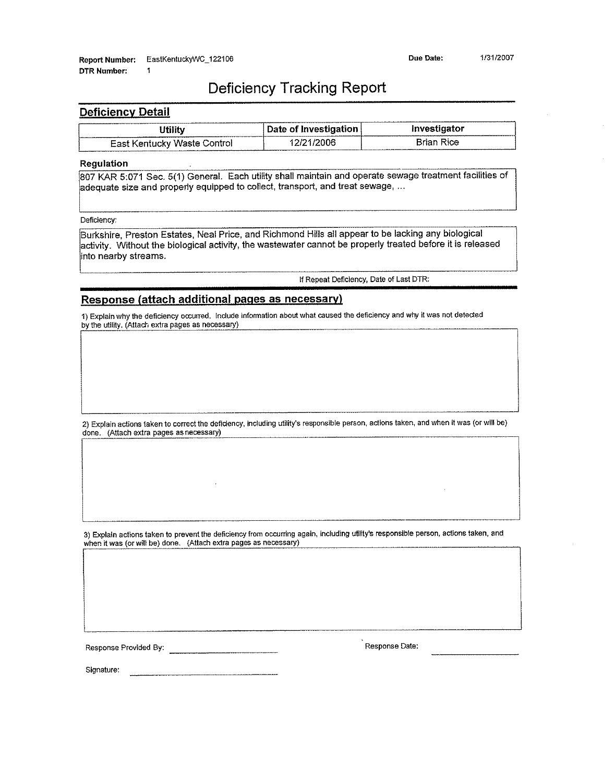## Deficiency Tracking Report

#### Deficiency Detail

|                               | Date of Investigation | Investigator  |
|-------------------------------|-----------------------|---------------|
| - East Kentucky Waste Control |                       | асе<br>Krian. |

#### Regulation

807 KAR 5:071 Sec. 5(1) General. Each utility shall maintain and operate sewage treatment facilities of adequate size and properly equipped to collect, transport, and treat sewage, ...

Deficiency;

i

Burkshire, Preston Estates, Neal Price, and Richmond Hills all appear to be lacking any biological activity. Without the biological activity, the wastewater cannot be properly treated before it is released into nearby streams.

ff Repeat Deficiency, Date of Last DTR:

#### Response (attach additional pages as necessary)

1) Explain why the deficiency occurred. Include information about what caused the deficiency and why it was not detected by the utility, (Attach extra pages as necessary)

2) Explain actions taken to correct the deficiency, including utility's responsible person, actions taken, and when it was (or will be) done. (Attach extra pages as necessary)

3) Explain actions taken to prevent the deficiency from occurring again, including utility's responsible person, actions taken, and when it was (or will be) done. (Attach extra pages as necessary)

Response Provided By: Response Date:

Signature: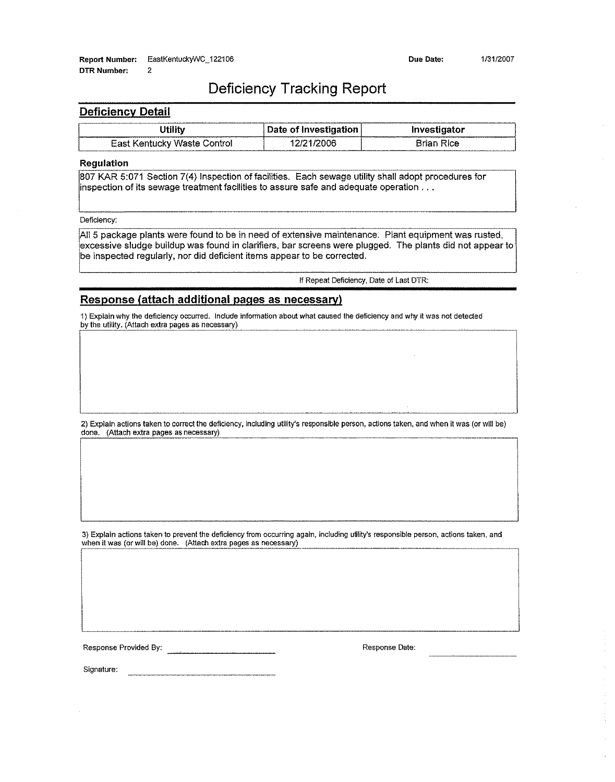## Deficiency Tracking Report

#### **Deficiency Detail**

| <b>DTR Number:</b>       | 2                           |                       |                   |  |
|--------------------------|-----------------------------|-----------------------|-------------------|--|
|                          | Deficiency Tracking Report  |                       |                   |  |
| <b>Deficiency Detail</b> |                             |                       |                   |  |
|                          | <b>Utility</b>              | Date of Investigation | Investigator      |  |
|                          | East Kentucky Waste Control | 12/21/2006            | <b>Brian Rice</b> |  |

#### Regulation

807 KAR 5:071 Section 7(4) Inspection of facilities. Each sewage utility shall adopt procedures for inspection of its sewage treatment facilities to assure safe and adequate operation...

Deficiency:

All 5 package plants were found to be in need of extensive maintenance. Plant equipment was rusted, excessive sludge buildup was found in clarifiers, bar screens were plugged. The plants did not appear to be inspected regularly, nor did deficient items appear to be corrected.

If Repeat Deficiency, Date of East DTR:

#### Response (attach additional pages as necessary)

1) Explain why the deficiency orzurred. Indude information about what caused the deficiency and why it was not detected by the utility. (Attach extra pages as necessary)

2) Explain actions taken to correct the deficiency, including utility's responsible person, actions taken, and when it was (or will be) done. (Attach extra pages as necessary)

3) Explain actions taken to prevent the deficiency from occurring again, including ufility's responsible person, actions taken, and when it was (or will be) done. (Attach extra pages as necessary)

Response Provided By: All Allen Contract Contract Contract Contract Contract Contract Contract Contract Contract Contract Contract Contract Contract Contract Contract Contract Contract Contract Contract Contract Contract C

Signature: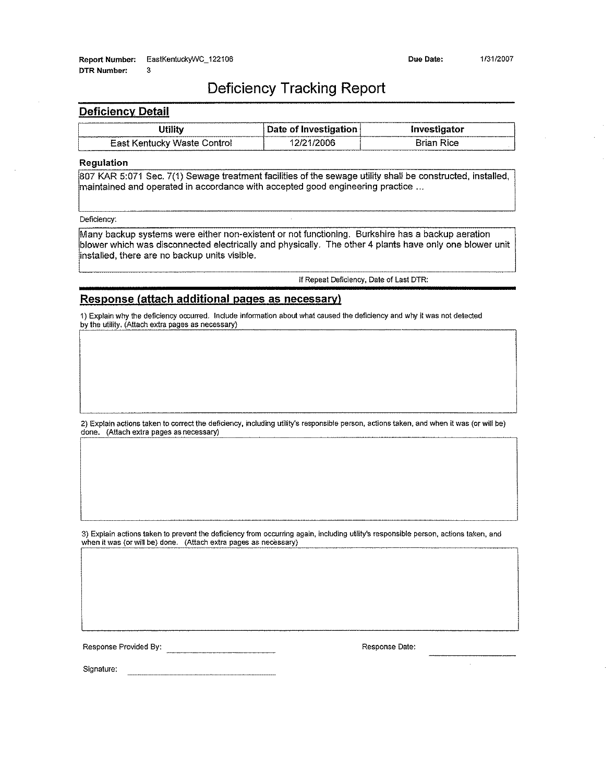## Deficiency Tracking Report

#### **Deficiency Detail**

| <b>Deficiency Detail</b>                                                                                                                                                                              |                       |                   |  |  |
|-------------------------------------------------------------------------------------------------------------------------------------------------------------------------------------------------------|-----------------------|-------------------|--|--|
| Utility                                                                                                                                                                                               | Date of Investigation | Investigator      |  |  |
| East Kentucky Waste Control                                                                                                                                                                           | 12/21/2006            | <b>Brian Rice</b> |  |  |
| <b>Regulation</b>                                                                                                                                                                                     |                       |                   |  |  |
| 807 KAR 5:071 Sec. 7(1) Sewage treatment facilities of the sewage utility shall be constructed, installed,<br> maintained and operated in accordance with accepted good engineering practice $\ldots$ |                       |                   |  |  |
| Deficiency:                                                                                                                                                                                           |                       |                   |  |  |
| Many backup systems were either non-existent or not functioning. Burkshire has a backup aeration                                                                                                      |                       |                   |  |  |

L

Many backup systems were either non-existent or not functioning, Burkshire has a backup aeration blower which was disconnected electrically and physically. The other 4 plants have only one blower unit installed, there are no backup units visible.

if Repeat Deficiency, Date of Last DTR:

#### Response (attach additional pages as necessary)

1) Explain why the deficiency occurred. Include information about what caused the deficiency and why it was not detected by the utility. (Attach extra pages as necessary)

2) Explain actions taken to correct the deficiency, including utility's responsible person, actions taken, and when it was (or will be) done. (Attach extra pages as necessary)

3) Explain actions taken to prevent the deficiency from occurring again, including utility's responsible person, actions taken, and when it was (or will be) done. (Attach extra pages as necessary)

Response Provided By: Nesponse Date:

 $\mathcal{L}$ 

Signature: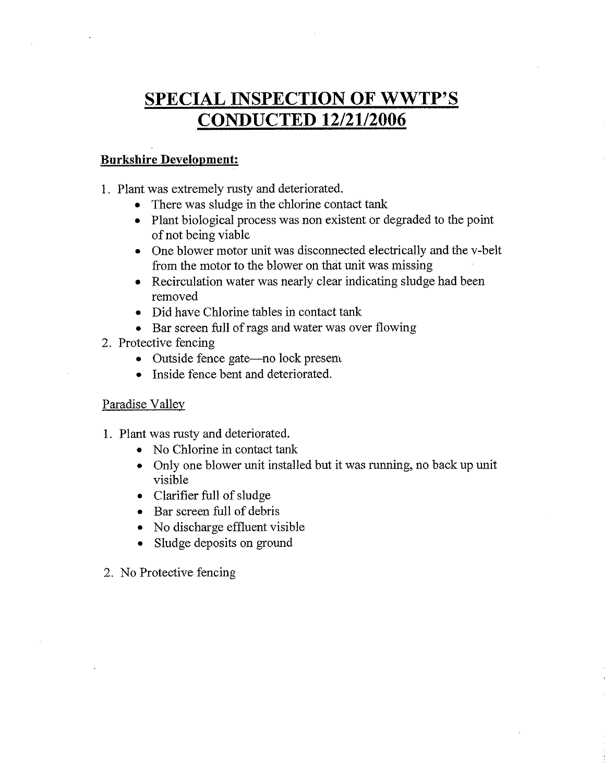# SPECIAL INSPECTION OF WWTP'S CONDUCTED 12/21/2006

## **Burkshire Development:**

- 1. Plant was extremely rusty and deteriorated.
	- There was sludge in the chlorine contact tank
	- ~ Plant biological process was non existent or degraded to the point of not being viable
	- ~ One blower motor unit was disconnected electrically and the v-belt from the motor to the blower on that unit was missing
	- ~ Recirculation water was nearly clear indicating sludge had been removed
	- ~ Did have Chlorine tables in contact tank
	- Bar screen full of rags and water was over flowing
- 2. Protective fencing
	- <sup>~</sup> Outside fence gate—no lock presem
	- Inside fence bent and deteriorated.

## Paradise Vallev

- 1. Plant was rusty and deteriorated.
	- ~ No Chlorine in contact tank
	- <sup>~</sup> Only one blower unit installed but it was running, no back up unit visible
	- ~ Clarifier full of sludge
	- <sup>~</sup> Bar screen full of debris
	- ~ No discharge effluent visible
	- ~ Sludge deposits on ground
- 2. No Protective fencing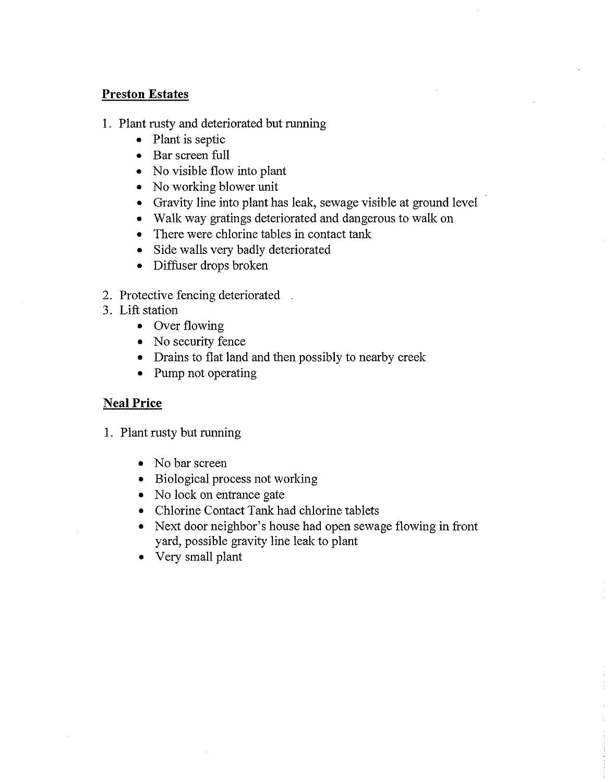## Preston Estates

- 1. Plant rusty and deteriorated but running
	- e Plant is septic
	- <sup>~</sup> Bar screen full
	- ~ No visible flow into plant
	- No working blower unit
	- Gravity line into plant has leak, sewage visible at ground level
	- ~ Walk way gratings deteriorated and dangerous to walk on
	- There were chlorine tables in contact tank
	- Side walls very badly deteriorated
	- ~ Diffuser drops broken
- 2. Protective fencing deteriorated
- 3. Lift station
	- Over flowing
	- No security fence
	- ~ Drains to flat land and then possibly to nearby creek.
	- ~ Pump not operating

## **Neal Price**

- 1. Plant rusty but running
	- No bar screen
	- ~ Biological process not working
	- No lock on entrance gate
	- ~ Chlorine Contact Tank had chlorine tablets
	- ~ Next door neighbor's house had open sewage flowing in front yard, possible gravity line leak to plant
	- ~ Very small plant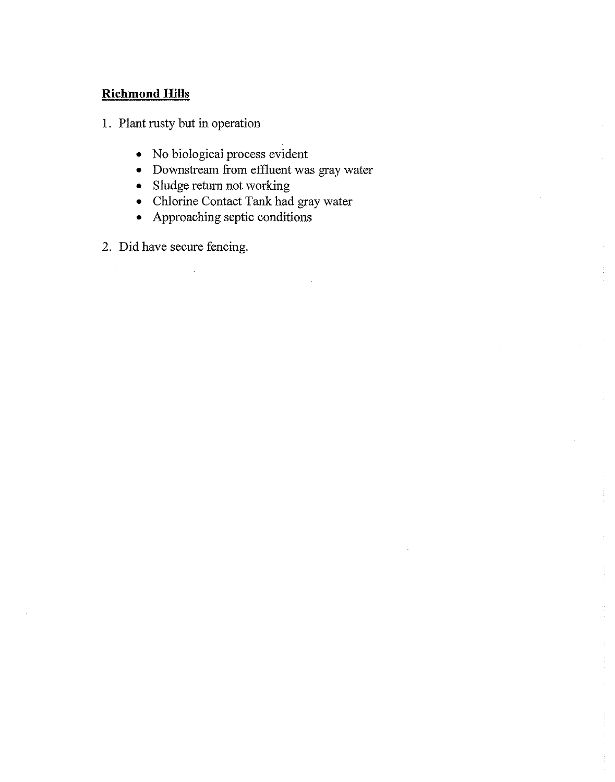## Richmond Hills

- 1. Plant rusty but in operation
	- ~ No biological process evident
	- Downstream from effluent was gray water
	- ~ Sludge return not working
	- ~ Chlorine Contact Tank had gray water
	- ~ Approaching septic conditions
- 2. Did have secure fencing.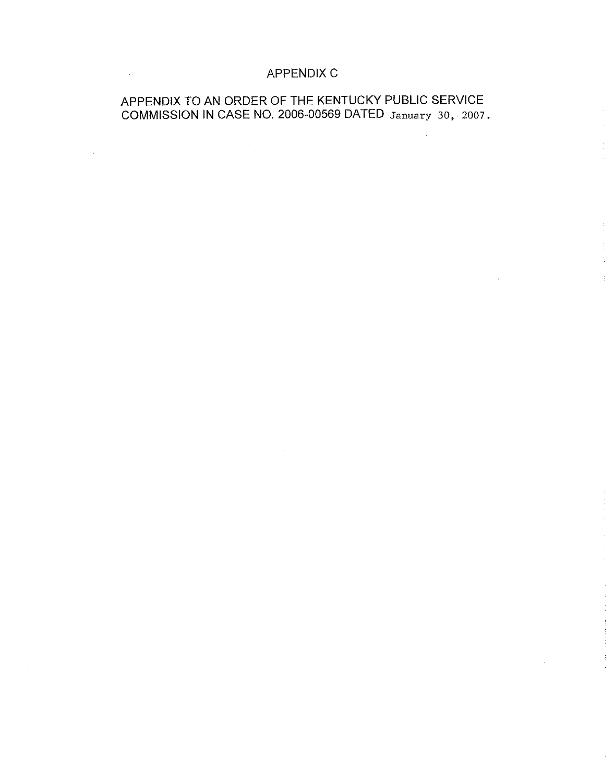## APPENDIX C

## APPENDIX TO AN ORDER OF THE KENTUCKY PUBLIC SERVICE COMMISSION IN CASE NO. 2006-00569 DATED January 30, 2007.